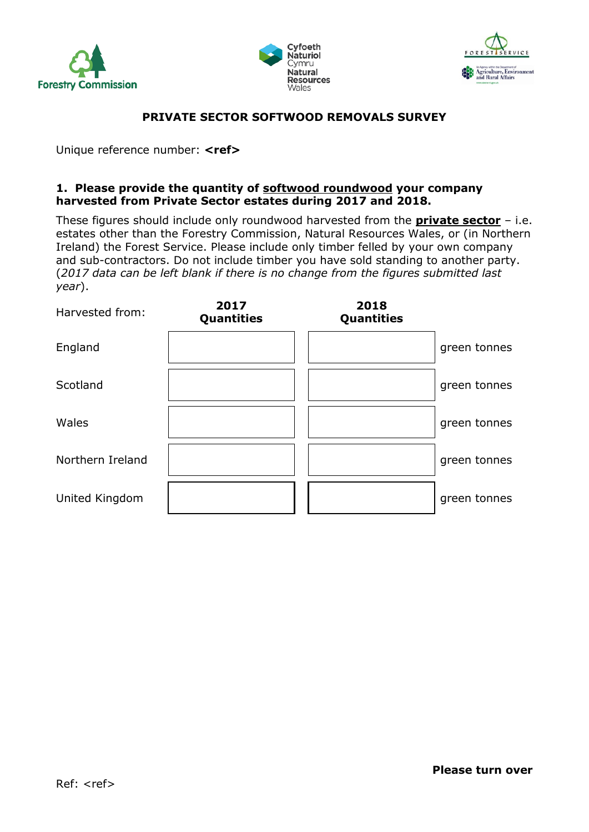





## **PRIVATE SECTOR SOFTWOOD REMOVALS SURVEY**

Unique reference number: **<ref>**

#### **1. Please provide the quantity of softwood roundwood your company harvested from Private Sector estates during 2017 and 2018.**

These figures should include only roundwood harvested from the **private sector** – i.e. estates other than the Forestry Commission, Natural Resources Wales, or (in Northern Ireland) the Forest Service. Please include only timber felled by your own company and sub-contractors. Do not include timber you have sold standing to another party. (*2017 data can be left blank if there is no change from the figures submitted last year*).

| Harvested from:  | 2017<br>Quantities | 2018<br><b>Quantities</b> |              |
|------------------|--------------------|---------------------------|--------------|
| England          |                    |                           | green tonnes |
| Scotland         |                    |                           | green tonnes |
| Wales            |                    |                           | green tonnes |
| Northern Ireland |                    |                           | green tonnes |
| United Kingdom   |                    |                           | green tonnes |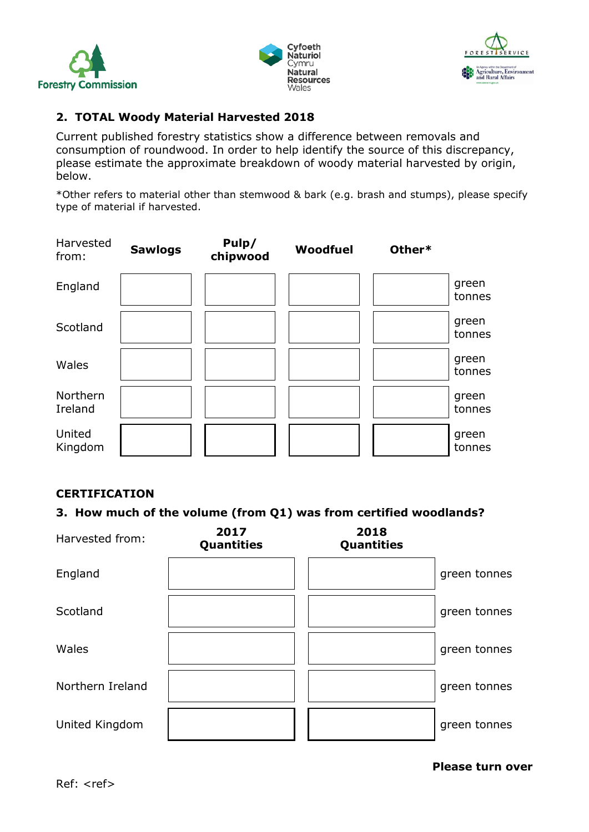





# **2. TOTAL Woody Material Harvested 2018**

Current published forestry statistics show a difference between removals and consumption of roundwood. In order to help identify the source of this discrepancy, please estimate the approximate breakdown of woody material harvested by origin, below.

\*Other refers to material other than stemwood & bark (e.g. brash and stumps), please specify type of material if harvested.



### **CERTIFICATION**

### **3. How much of the volume (from Q1) was from certified woodlands?**



**Please turn over**